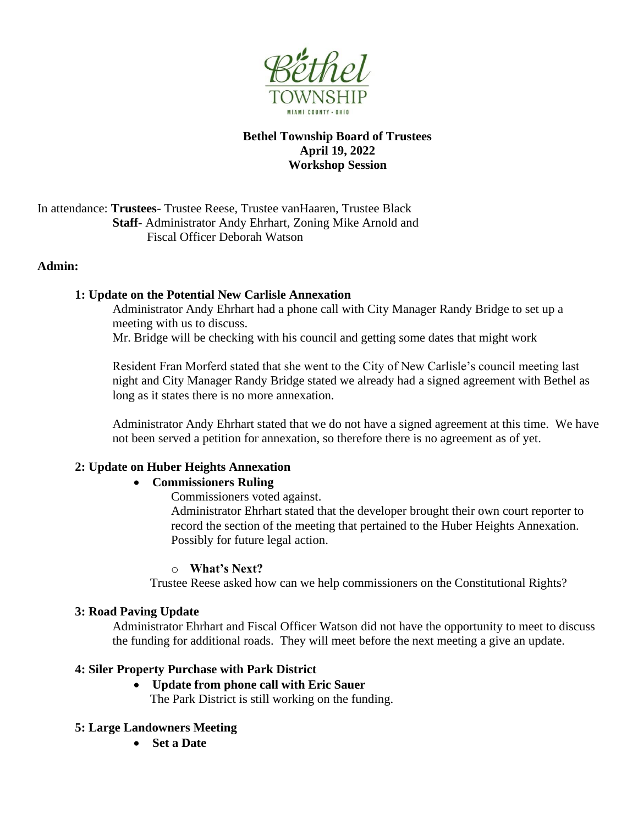

# **Bethel Township Board of Trustees April 19, 2022 Workshop Session**

In attendance: **Trustees**- Trustee Reese, Trustee vanHaaren, Trustee Black **Staff**- Administrator Andy Ehrhart, Zoning Mike Arnold and Fiscal Officer Deborah Watson

### **Admin:**

### **1: Update on the Potential New Carlisle Annexation**

Administrator Andy Ehrhart had a phone call with City Manager Randy Bridge to set up a meeting with us to discuss.

Mr. Bridge will be checking with his council and getting some dates that might work

Resident Fran Morferd stated that she went to the City of New Carlisle's council meeting last night and City Manager Randy Bridge stated we already had a signed agreement with Bethel as long as it states there is no more annexation.

Administrator Andy Ehrhart stated that we do not have a signed agreement at this time. We have not been served a petition for annexation, so therefore there is no agreement as of yet.

# **2: Update on Huber Heights Annexation**

# • **Commissioners Ruling**

Commissioners voted against.

Administrator Ehrhart stated that the developer brought their own court reporter to record the section of the meeting that pertained to the Huber Heights Annexation. Possibly for future legal action.

### o **What's Next?**

Trustee Reese asked how can we help commissioners on the Constitutional Rights?

### **3: Road Paving Update**

Administrator Ehrhart and Fiscal Officer Watson did not have the opportunity to meet to discuss the funding for additional roads. They will meet before the next meeting a give an update.

# **4: Siler Property Purchase with Park District**

• **Update from phone call with Eric Sauer**

The Park District is still working on the funding.

# **5: Large Landowners Meeting**

• **Set a Date**